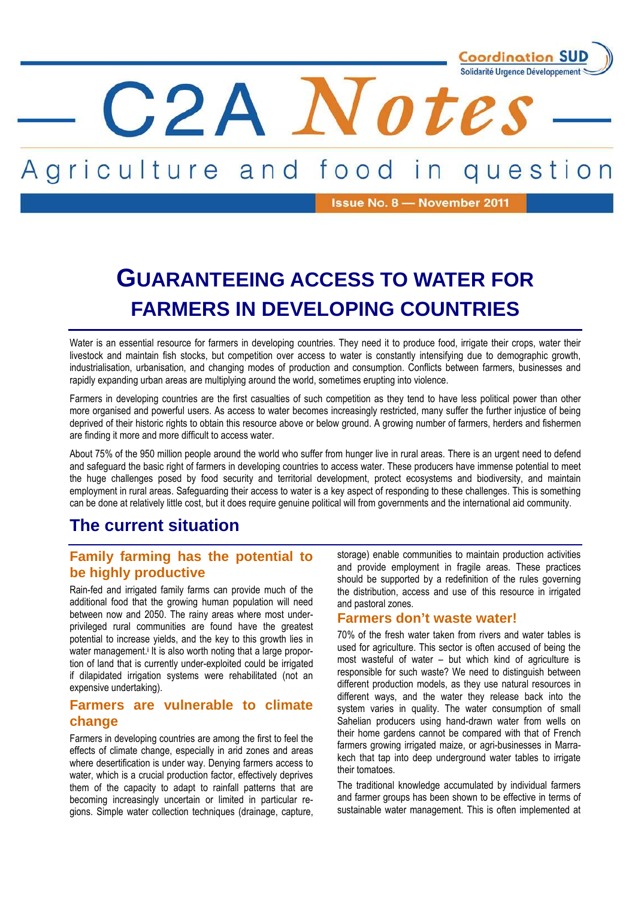

#### Agriculture and food question i n

C2A Note

Issue No. 8 - November 2011

# **GUARANTEEING ACCESS TO WATER FOR FARMERS IN DEVELOPING COUNTRIES**

Water is an essential resource for farmers in developing countries. They need it to produce food, irrigate their crops, water their livestock and maintain fish stocks, but competition over access to water is constantly intensifying due to demographic growth, industrialisation, urbanisation, and changing modes of production and consumption. Conflicts between farmers, businesses and rapidly expanding urban areas are multiplying around the world, sometimes erupting into violence.

Farmers in developing countries are the first casualties of such competition as they tend to have less political power than other more organised and powerful users. As access to water becomes increasingly restricted, many suffer the further injustice of being deprived of their historic rights to obtain this resource above or below ground. A growing number of farmers, herders and fishermen are finding it more and more difficult to access water.

About 75% of the 950 million people around the world who suffer from hunger live in rural areas. There is an urgent need to defend and safeguard the basic right of farmers in developing countries to access water. These producers have immense potential to meet the huge challenges posed by food security and territorial development, protect ecosystems and biodiversity, and maintain employment in rural areas. Safeguarding their access to water is a key aspect of responding to these challenges. This is something can be done at relatively little cost, but it does require genuine political will from governments and the international aid community.

## **The current situation**

## **Family farming has the potential to be highly productive**

Rain-fed and irrigated family farms can provide much of the additional food that the growing human population will need between now and 2050. The rainy areas where most underprivileged rural communities are found have the greatest potential to increase yields, and the key to this growth lies in water management.<sup>i</sup> It is also worth noting that a large proportion of land that is currently under-exploited could be irrigated if dilapidated irrigation systems were rehabilitated (not an expensive undertaking).

## **Farmers are vulnerable to climate change**

Farmers in developing countries are among the first to feel the effects of climate change, especially in arid zones and areas where desertification is under way. Denying farmers access to water, which is a crucial production factor, effectively deprives them of the capacity to adapt to rainfall patterns that are becoming increasingly uncertain or limited in particular regions. Simple water collection techniques (drainage, capture, storage) enable communities to maintain production activities and provide employment in fragile areas. These practices should be supported by a redefinition of the rules governing the distribution, access and use of this resource in irrigated and pastoral zones.

### **Farmers don't waste water!**

70% of the fresh water taken from rivers and water tables is used for agriculture. This sector is often accused of being the most wasteful of water – but which kind of agriculture is responsible for such waste? We need to distinguish between different production models, as they use natural resources in different ways, and the water they release back into the system varies in quality. The water consumption of small Sahelian producers using hand-drawn water from wells on their home gardens cannot be compared with that of French farmers growing irrigated maize, or agri-businesses in Marrakech that tap into deep underground water tables to irrigate their tomatoes.

The traditional knowledge accumulated by individual farmers and farmer groups has been shown to be effective in terms of sustainable water management. This is often implemented at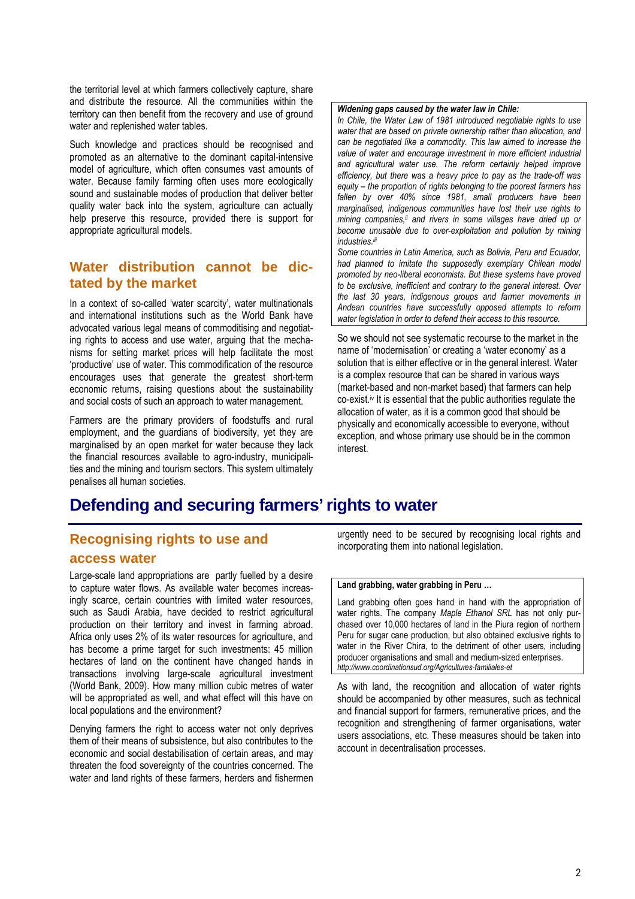the territorial level at which farmers collectively capture, share and distribute the resource. All the communities within the territory can then benefit from the recovery and use of ground water and replenished water tables.

Such knowledge and practices should be recognised and promoted as an alternative to the dominant capital-intensive model of agriculture, which often consumes vast amounts of water. Because family farming often uses more ecologically sound and sustainable modes of production that deliver better quality water back into the system, agriculture can actually help preserve this resource, provided there is support for appropriate agricultural models.

## **Water distribution cannot be dictated by the market**

In a context of so-called 'water scarcity', water multinationals and international institutions such as the World Bank have advocated various legal means of commoditising and negotiating rights to access and use water, arguing that the mechanisms for setting market prices will help facilitate the most 'productive' use of water. This commodification of the resource encourages uses that generate the greatest short-term economic returns, raising questions about the sustainability and social costs of such an approach to water management.

Farmers are the primary providers of foodstuffs and rural employment, and the guardians of biodiversity, yet they are marginalised by an open market for water because they lack the financial resources available to agro-industry, municipalities and the mining and tourism sectors. This system ultimately penalises all human societies.

#### *Widening gaps caused by the water law in Chile:*

*In Chile, the Water Law of 1981 introduced negotiable rights to use water that are based on private ownership rather than allocation, and can be negotiated like a commodity. This law aimed to increase the value of water and encourage investment in more efficient industrial and agricultural water use. The reform certainly helped improve efficiency, but there was a heavy price to pay as the trade-off was equity – the proportion of rights belonging to the poorest farmers has fallen by over 40% since 1981, small producers have been marginalised, indigenous communities have lost their use rights to mining companies,ii and rivers in some villages have dried up or become unusable due to over-exploitation and pollution by mining industries.iii*

*Some countries in Latin America, such as Bolivia, Peru and Ecuador, had planned to imitate the supposedly exemplary Chilean model promoted by neo-liberal economists. But these systems have proved to be exclusive, inefficient and contrary to the general interest. Over the last 30 years, indigenous groups and farmer movements in Andean countries have successfully opposed attempts to reform water legislation in order to defend their access to this resource.* 

So we should not see systematic recourse to the market in the name of 'modernisation' or creating a 'water economy' as a solution that is either effective or in the general interest. Water is a complex resource that can be shared in various ways (market-based and non-market based) that farmers can help co-exist.<sup>iv</sup> It is essential that the public authorities regulate the allocation of water, as it is a common good that should be physically and economically accessible to everyone, without exception, and whose primary use should be in the common interest.

## **Defending and securing farmers' rights to water**

## **Recognising rights to use and access water**

Large-scale land appropriations are partly fuelled by a desire to capture water flows. As available water becomes increasingly scarce, certain countries with limited water resources, such as Saudi Arabia, have decided to restrict agricultural production on their territory and invest in farming abroad. Africa only uses 2% of its water resources for agriculture, and has become a prime target for such investments: 45 million hectares of land on the continent have changed hands in transactions involving large-scale agricultural investment (World Bank, 2009). How many million cubic metres of water will be appropriated as well, and what effect will this have on local populations and the environment?

Denying farmers the right to access water not only deprives them of their means of subsistence, but also contributes to the economic and social destabilisation of certain areas, and may threaten the food sovereignty of the countries concerned. The water and land rights of these farmers, herders and fishermen urgently need to be secured by recognising local rights and incorporating them into national legislation.

#### **Land grabbing, water grabbing in Peru …**

Land grabbing often goes hand in hand with the appropriation of water rights. The company *Maple Ethanol SRL* has not only purchased over 10,000 hectares of land in the Piura region of northern Peru for sugar cane production, but also obtained exclusive rights to water in the River Chira, to the detriment of other users, including producer organisations and small and medium-sized enterprises. *http://www.coordinationsud.org/Agricultures-familiales-et*

As with land, the recognition and allocation of water rights should be accompanied by other measures, such as technical and financial support for farmers, remunerative prices, and the recognition and strengthening of farmer organisations, water users associations, etc. These measures should be taken into account in decentralisation processes.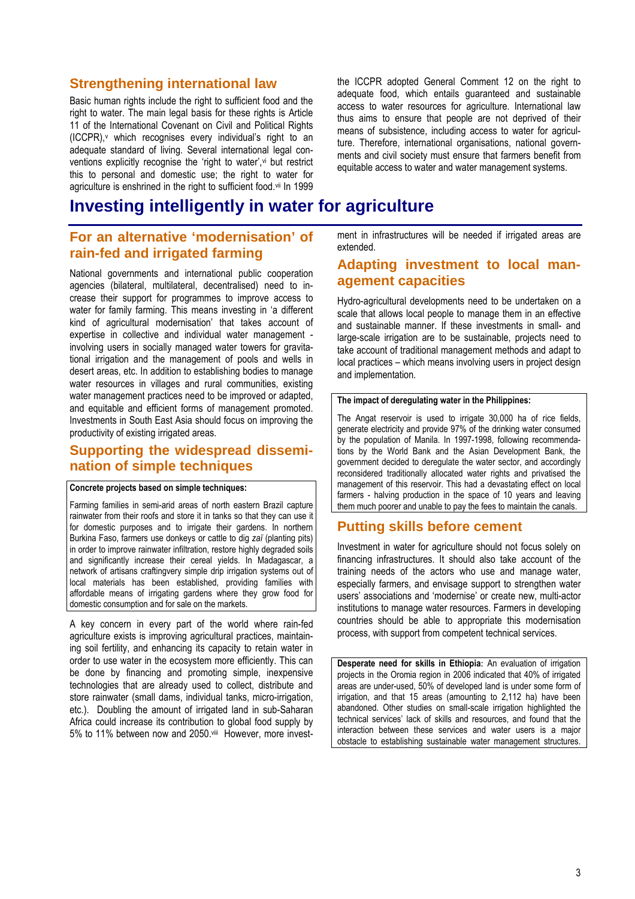## **Strengthening international law**

Basic human rights include the right to sufficient food and the right to water. The main legal basis for these rights is Article 11 of the International Covenant on Civil and Political Rights (ICCPR),<sup>v</sup> which recognises every individual's right to an adequate standard of living. Several international legal conventions explicitly recognise the 'right to water',<sup>vi</sup> but restrict this to personal and domestic use; the right to water for agriculture is enshrined in the right to sufficient food.vii In 1999 the ICCPR adopted General Comment 12 on the right to adequate food, which entails guaranteed and sustainable access to water resources for agriculture. International law thus aims to ensure that people are not deprived of their means of subsistence, including access to water for agriculture. Therefore, international organisations, national governments and civil society must ensure that farmers benefit from equitable access to water and water management systems.

## **Investing intelligently in water for agriculture**

## **For an alternative 'modernisation' of rain-fed and irrigated farming**

National governments and international public cooperation agencies (bilateral, multilateral, decentralised) need to increase their support for programmes to improve access to water for family farming. This means investing in 'a different kind of agricultural modernisation' that takes account of expertise in collective and individual water management involving users in socially managed water towers for gravitational irrigation and the management of pools and wells in desert areas, etc. In addition to establishing bodies to manage water resources in villages and rural communities, existing water management practices need to be improved or adapted, and equitable and efficient forms of management promoted. Investments in South East Asia should focus on improving the productivity of existing irrigated areas.

## **Supporting the widespread dissemination of simple techniques**

#### **Concrete projects based on simple techniques:**

Farming families in semi-arid areas of north eastern Brazil capture rainwater from their roofs and store it in tanks so that they can use it for domestic purposes and to irrigate their gardens. In northern Burkina Faso, farmers use donkeys or cattle to dig *zaϊ* (planting pits) in order to improve rainwater infiltration, restore highly degraded soils and significantly increase their cereal yields. In Madagascar, a network of artisans craftingvery simple drip irrigation systems out of local materials has been established, providing families with affordable means of irrigating gardens where they grow food for domestic consumption and for sale on the markets.

A key concern in every part of the world where rain-fed agriculture exists is improving agricultural practices, maintaining soil fertility, and enhancing its capacity to retain water in order to use water in the ecosystem more efficiently. This can be done by financing and promoting simple, inexpensive technologies that are already used to collect, distribute and store rainwater (small dams, individual tanks, micro-irrigation, etc.). Doubling the amount of irrigated land in sub-Saharan Africa could increase its contribution to global food supply by 5% to 11% between now and 2050.viii However, more investment in infrastructures will be needed if irrigated areas are extended.

## **Adapting investment to local management capacities**

Hydro-agricultural developments need to be undertaken on a scale that allows local people to manage them in an effective and sustainable manner. If these investments in small- and large-scale irrigation are to be sustainable, projects need to take account of traditional management methods and adapt to local practices – which means involving users in project design and implementation.

#### **The impact of deregulating water in the Philippines:**

The Angat reservoir is used to irrigate 30,000 ha of rice fields, generate electricity and provide 97% of the drinking water consumed by the population of Manila. In 1997-1998, following recommendations by the World Bank and the Asian Development Bank, the government decided to deregulate the water sector, and accordingly reconsidered traditionally allocated water rights and privatised the management of this reservoir. This had a devastating effect on local farmers - halving production in the space of 10 years and leaving them much poorer and unable to pay the fees to maintain the canals.

### **Putting skills before cement**

Investment in water for agriculture should not focus solely on financing infrastructures. It should also take account of the training needs of the actors who use and manage water, especially farmers, and envisage support to strengthen water users' associations and 'modernise' or create new, multi-actor institutions to manage water resources. Farmers in developing countries should be able to appropriate this modernisation process, with support from competent technical services.

**Desperate need for skills in Ethiopia**: An evaluation of irrigation projects in the Oromia region in 2006 indicated that 40% of irrigated areas are under-used, 50% of developed land is under some form of irrigation, and that 15 areas (amounting to 2,112 ha) have been abandoned. Other studies on small-scale irrigation highlighted the technical services' lack of skills and resources, and found that the interaction between these services and water users is a major obstacle to establishing sustainable water management structures.